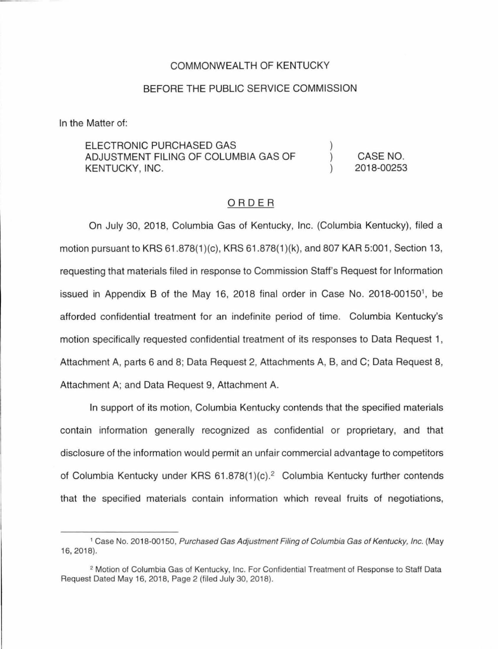## COMMONWEALTH OF KENTUCKY

## BEFORE THE PUBLIC SERVICE COMMISSION

In the Matter of:

ELECTRONIC PURCHASED GAS ADJUSTMENT FILING OF COLUMBIA GAS OF KENTUCKY, INC.

CASE NO. 2018-00253

) ) )

## ORDER

On July 30, 2018, Columbia Gas of Kentucky, Inc. (Columbia Kentucky), filed a motion pursuant to KRS 61 .878(1 )(c), KRS 61 .878(1 )(k), and 807 KAR 5:001 , Section 13, requesting that materials filed in response to Commission Staff's Request for Information issued in Appendix B of the May 16, 2018 final order in Case No.  $2018-00150$ <sup>1</sup>, be afforded confidential treatment for an indefinite period of time. Columbia Kentucky's motion specifically requested confidential treatment of its responses to Data Request 1 , Attachment A, parts 6 and 8; Data Request 2, Attachments A, B, and C; Data Request 8, Attachment A; and Data Request 9, Attachment A.

In support of its motion, Columbia Kentucky contends that the specified materials contain information generally recognized as confidential or proprietary, and that disclosure of the information would permit an unfair commercial advantage to competitors of Columbia Kentucky under KRS 61.878(1)(c).<sup>2</sup> Columbia Kentucky further contends that the specified materials contain information which reveal fruits of negotiations,

<sup>&</sup>lt;sup>1</sup> Case No. 2018-00150, Purchased Gas Adjustment Filing of Columbia Gas of Kentucky, Inc. (May 16, 2018).

<sup>2</sup>Motion of Columbia Gas of Kentucky, Inc. For Confidential Treatment of Response to Staff Data Request Dated May 16, 2018, Page 2 (filed July 30, 2018).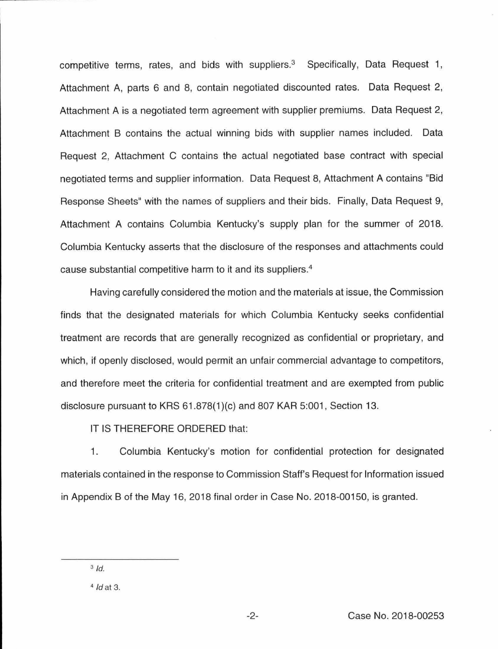competitive terms, rates, and bids with suppliers.<sup>3</sup> Specifically. Data Request 1. Attachment A, parts 6 and 8, contain negotiated discounted rates. Data Request 2, Attachment A is a negotiated term agreement with supplier premiums. Data Request 2, Attachment B contains the actual winning bids with supplier names included. Data Request 2, Attachment C contains the actual negotiated base contract with special negotiated terms and supplier information. Data Request 8, Attachment A contains "Bid Response Sheets" with the names of suppliers and their bids. Finally, Data Request 9, Attachment A contains Columbia Kentucky's supply plan for the summer of 2018. Columbia Kentucky asserts that the disclosure of the responses and attachments could cause substantial competitive harm to it and its suppliers.<sup>4</sup>

Having carefully considered the motion and the materials at issue, the Commission finds that the designated materials for which Columbia Kentucky seeks confidential treatment are records that are generally recognized as confidential or proprietary, and which, if openly disclosed, would permit an unfair commercial advantage to competitors, and therefore meet the criteria for confidential treatment and are exempted from public disclosure pursuant to KRS  $61.878(1)(c)$  and 807 KAR 5:001, Section 13.

IT IS THEREFORE ORDERED that:

1 . Columbia Kentucky's motion for confidential protection for designated materials contained in the response to Commission Staff's Request for Information issued in Appendix B of the May 16, 2018 final order in Case No. 2018-00150, is granted.

 $3$   $Id$ .

 $4$  *Id at 3.*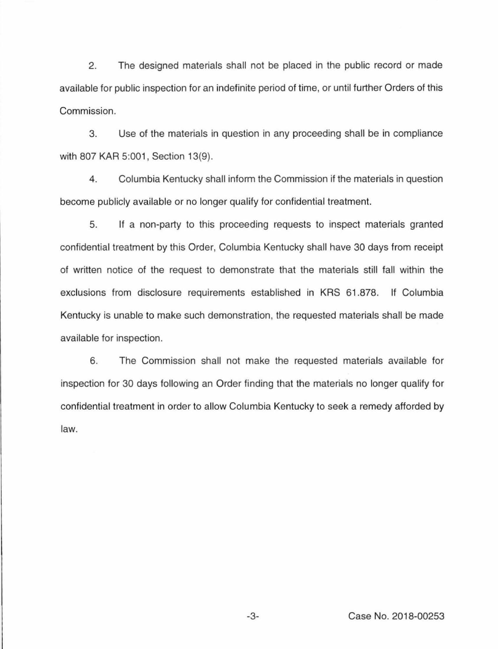2. The designed materials shall not be placed in the public record or made available for public inspection for an indefinite period of time, or until further Orders of this Commission.

3. Use of the materials in question in any proceeding shall be in compliance with 807 KAR 5:001, Section 13(9).

4. Columbia Kentucky shall inform the Commission if the materials in question become publicly available or no longer qualify for confidential treatment.

5. If a non-party to this proceeding requests to inspect materials granted confidential treatment by this Order, Columbia Kentucky shall have 30 days from receipt of written notice of the request to demonstrate that the materials still fall within the exclusions from disclosure requirements established in KRS 61.878. If Columbia Kentucky is unable to make such demonstration, the requested materials shall be made available for inspection.

6. The Commission shall not make the requested materials available for inspection for 30 days following an Order finding that the materials no longer qualify for confidential treatment in order to allow Columbia Kentucky to seek a remedy afforded by law.

-3- Case No. 2018-00253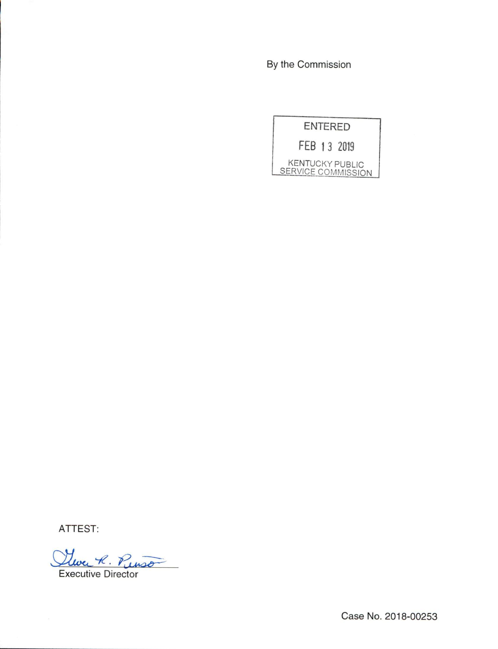By the Commission

| <b>ENTERED</b>                               |
|----------------------------------------------|
| FEB 13 2019                                  |
| <b>KENTUCKY PUBLIC</b><br>SERVICE COMMISSION |

ATTEST:

Clure R. Punso